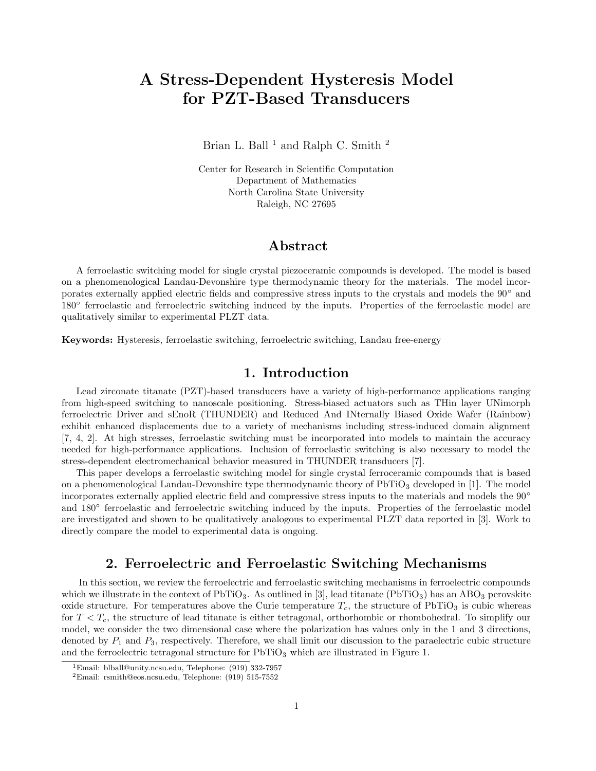# A Stress-Dependent Hysteresis Model for PZT-Based Transducers

Brian L. Ball<sup>1</sup> and Ralph C. Smith<sup>2</sup>

Center for Research in Scientific Computation Department of Mathematics North Carolina State University Raleigh, NC 27695

## Abstract

A ferroelastic switching model for single crystal piezoceramic compounds is developed. The model is based on a phenomenological Landau-Devonshire type thermodynamic theory for the materials. The model incorporates externally applied electric fields and compressive stress inputs to the crystals and models the 90◦ and 180° ferroelastic and ferroelectric switching induced by the inputs. Properties of the ferroelastic model are qualitatively similar to experimental PLZT data.

Keywords: Hysteresis, ferroelastic switching, ferroelectric switching, Landau free-energy

### 1. Introduction

Lead zirconate titanate (PZT)-based transducers have a variety of high-performance applications ranging from high-speed switching to nanoscale positioning. Stress-biased actuators such as THin layer UNimorph ferroelectric Driver and sEnoR (THUNDER) and Reduced And INternally Biased Oxide Wafer (Rainbow) exhibit enhanced displacements due to a variety of mechanisms including stress-induced domain alignment [7, 4, 2]. At high stresses, ferroelastic switching must be incorporated into models to maintain the accuracy needed for high-performance applications. Inclusion of ferroelastic switching is also necessary to model the stress-dependent electromechanical behavior measured in THUNDER transducers [7].

This paper develops a ferroelastic switching model for single crystal ferroceramic compounds that is based on a phenomenological Landau-Devonshire type thermodynamic theory of  $PbTiO<sub>3</sub>$  developed in [1]. The model incorporates externally applied electric field and compressive stress inputs to the materials and models the 90◦ and 180° ferroelastic and ferroelectric switching induced by the inputs. Properties of the ferroelastic model are investigated and shown to be qualitatively analogous to experimental PLZT data reported in [3]. Work to directly compare the model to experimental data is ongoing.

# 2. Ferroelectric and Ferroelastic Switching Mechanisms

In this section, we review the ferroelectric and ferroelastic switching mechanisms in ferroelectric compounds which we illustrate in the context of  $PbTiO<sub>3</sub>$ . As outlined in [3], lead titanate ( $PbTiO<sub>3</sub>$ ) has an ABO<sub>3</sub> perovskite oxide structure. For temperatures above the Curie temperature  $T_c$ , the structure of PbTiO<sub>3</sub> is cubic whereas for  $T < T_c$ , the structure of lead titanate is either tetragonal, orthorhombic or rhombohedral. To simplify our model, we consider the two dimensional case where the polarization has values only in the 1 and 3 directions, denoted by  $P_1$  and  $P_3$ , respectively. Therefore, we shall limit our discussion to the paraelectric cubic structure and the ferroelectric tetragonal structure for  $PbTiO<sub>3</sub>$  which are illustrated in Figure 1.

<sup>1</sup>Email: blball@unity.ncsu.edu, Telephone: (919) 332-7957

<sup>2</sup>Email: rsmith@eos.ncsu.edu, Telephone: (919) 515-7552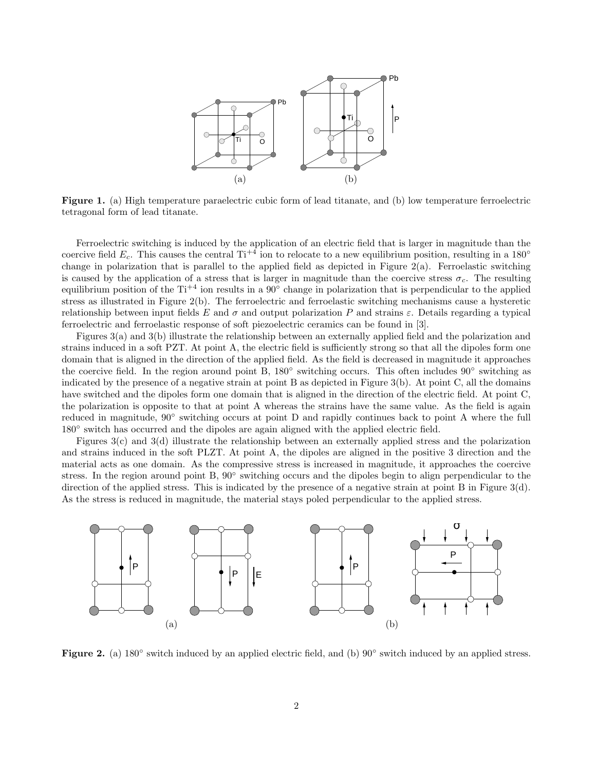

Figure 1. (a) High temperature paraelectric cubic form of lead titanate, and (b) low temperature ferroelectric tetragonal form of lead titanate.

Ferroelectric switching is induced by the application of an electric field that is larger in magnitude than the coercive field  $E_c$ . This causes the central Ti<sup>+4</sup> ion to relocate to a new equilibrium position, resulting in a 180<sup>°</sup> change in polarization that is parallel to the applied field as depicted in Figure  $2(a)$ . Ferroelastic switching is caused by the application of a stress that is larger in magnitude than the coercive stress  $\sigma_c$ . The resulting equilibrium position of the Ti<sup>+4</sup> ion results in a 90<sup>°</sup> change in polarization that is perpendicular to the applied stress as illustrated in Figure 2(b). The ferroelectric and ferroelastic switching mechanisms cause a hysteretic relationship between input fields E and  $\sigma$  and output polarization P and strains  $\varepsilon$ . Details regarding a typical ferroelectric and ferroelastic response of soft piezoelectric ceramics can be found in [3].

Figures 3(a) and 3(b) illustrate the relationship between an externally applied field and the polarization and strains induced in a soft PZT. At point A, the electric field is sufficiently strong so that all the dipoles form one domain that is aligned in the direction of the applied field. As the field is decreased in magnitude it approaches the coercive field. In the region around point B, 180◦ switching occurs. This often includes 90◦ switching as indicated by the presence of a negative strain at point B as depicted in Figure 3(b). At point C, all the domains have switched and the dipoles form one domain that is aligned in the direction of the electric field. At point C, the polarization is opposite to that at point A whereas the strains have the same value. As the field is again reduced in magnitude, 90° switching occurs at point D and rapidly continues back to point A where the full 180° switch has occurred and the dipoles are again aligned with the applied electric field.

Figures 3(c) and 3(d) illustrate the relationship between an externally applied stress and the polarization and strains induced in the soft PLZT. At point A, the dipoles are aligned in the positive 3 direction and the material acts as one domain. As the compressive stress is increased in magnitude, it approaches the coercive stress. In the region around point B, 90° switching occurs and the dipoles begin to align perpendicular to the direction of the applied stress. This is indicated by the presence of a negative strain at point B in Figure 3(d). As the stress is reduced in magnitude, the material stays poled perpendicular to the applied stress.



Figure 2. (a) 180° switch induced by an applied electric field, and (b) 90° switch induced by an applied stress.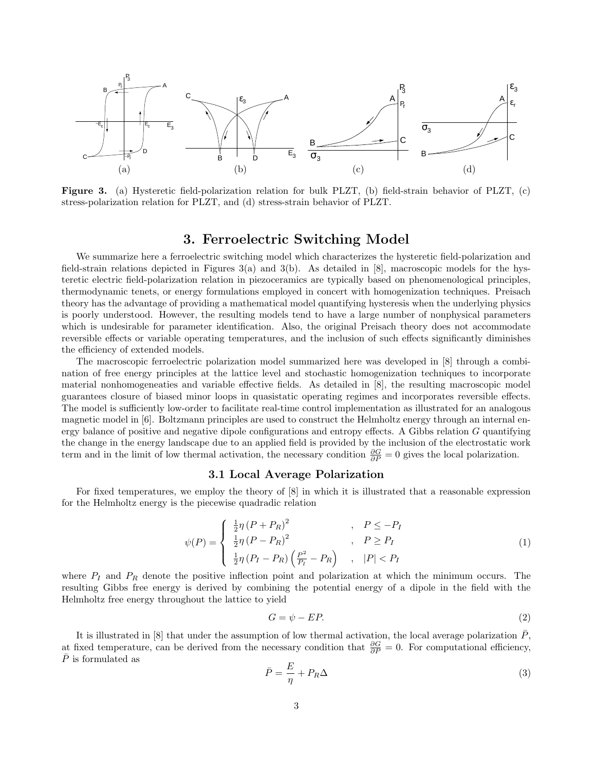

Figure 3. (a) Hysteretic field-polarization relation for bulk PLZT, (b) field-strain behavior of PLZT, (c) stress-polarization relation for PLZT, and (d) stress-strain behavior of PLZT.

### 3. Ferroelectric Switching Model

We summarize here a ferroelectric switching model which characterizes the hysteretic field-polarization and field-strain relations depicted in Figures 3(a) and 3(b). As detailed in [8], macroscopic models for the hysteretic electric field-polarization relation in piezoceramics are typically based on phenomenological principles, thermodynamic tenets, or energy formulations employed in concert with homogenization techniques. Preisach theory has the advantage of providing a mathematical model quantifying hysteresis when the underlying physics is poorly understood. However, the resulting models tend to have a large number of nonphysical parameters which is undesirable for parameter identification. Also, the original Preisach theory does not accommodate reversible effects or variable operating temperatures, and the inclusion of such effects significantly diminishes the efficiency of extended models.

The macroscopic ferroelectric polarization model summarized here was developed in [8] through a combination of free energy principles at the lattice level and stochastic homogenization techniques to incorporate material nonhomogeneaties and variable effective fields. As detailed in [8], the resulting macroscopic model guarantees closure of biased minor loops in quasistatic operating regimes and incorporates reversible effects. The model is sufficiently low-order to facilitate real-time control implementation as illustrated for an analogous magnetic model in [6]. Boltzmann principles are used to construct the Helmholtz energy through an internal energy balance of positive and negative dipole configurations and entropy effects. A Gibbs relation  $G$  quantifying the change in the energy landscape due to an applied field is provided by the inclusion of the electrostatic work term and in the limit of low thermal activation, the necessary condition  $\frac{\partial G}{\partial P} = 0$  gives the local polarization.

#### 3.1 Local Average Polarization

For fixed temperatures, we employ the theory of [8] in which it is illustrated that a reasonable expression for the Helmholtz energy is the piecewise quadradic relation

$$
\psi(P) = \begin{cases} \frac{1}{2}\eta (P + P_R)^2 & , P \le -P_I \\ \frac{1}{2}\eta (P - P_R)^2 & , P \ge P_I \\ \frac{1}{2}\eta (P_I - P_R) \left(\frac{P^2}{P_I} - P_R\right) & , |P| < P_I \end{cases} \tag{1}
$$

where  $P_I$  and  $P_R$  denote the positive inflection point and polarization at which the minimum occurs. The resulting Gibbs free energy is derived by combining the potential energy of a dipole in the field with the Helmholtz free energy throughout the lattice to yield

$$
G = \psi - EP. \tag{2}
$$

It is illustrated in  $[8]$  that under the assumption of low thermal activation, the local average polarization  $P$ , at fixed temperature, can be derived from the necessary condition that  $\frac{\partial G}{\partial P} = 0$ . For computational efficiency,  $\overline{P}$  is formulated as

$$
\bar{P} = \frac{E}{\eta} + P_R \Delta \tag{3}
$$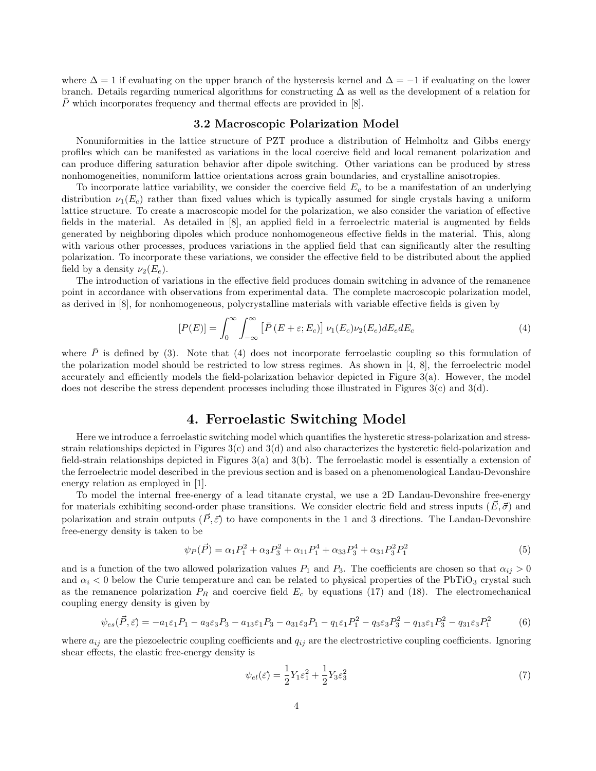where  $\Delta = 1$  if evaluating on the upper branch of the hysteresis kernel and  $\Delta = -1$  if evaluating on the lower branch. Details regarding numerical algorithms for constructing ∆ as well as the development of a relation for  $\overline{P}$  which incorporates frequency and thermal effects are provided in [8].

#### 3.2 Macroscopic Polarization Model

Nonuniformities in the lattice structure of PZT produce a distribution of Helmholtz and Gibbs energy profiles which can be manifested as variations in the local coercive field and local remanent polarization and can produce differing saturation behavior after dipole switching. Other variations can be produced by stress nonhomogeneities, nonuniform lattice orientations across grain boundaries, and crystalline anisotropies.

To incorporate lattice variability, we consider the coercive field  $E<sub>c</sub>$  to be a manifestation of an underlying distribution  $\nu_1(E_c)$  rather than fixed values which is typically assumed for single crystals having a uniform lattice structure. To create a macroscopic model for the polarization, we also consider the variation of effective fields in the material. As detailed in [8], an applied field in a ferroelectric material is augmented by fields generated by neighboring dipoles which produce nonhomogeneous effective fields in the material. This, along with various other processes, produces variations in the applied field that can significantly alter the resulting polarization. To incorporate these variations, we consider the effective field to be distributed about the applied field by a density  $\nu_2(E_e)$ .

The introduction of variations in the effective field produces domain switching in advance of the remanence point in accordance with observations from experimental data. The complete macroscopic polarization model, as derived in [8], for nonhomogeneous, polycrystalline materials with variable effective fields is given by

$$
[P(E)] = \int_0^\infty \int_{-\infty}^\infty \left[ \bar{P}(E + \varepsilon; E_c) \right] \nu_1(E_c) \nu_2(E_e) dE_e dE_c \tag{4}
$$

where  $\overline{P}$  is defined by (3). Note that (4) does not incorporate ferroelastic coupling so this formulation of the polarization model should be restricted to low stress regimes. As shown in [4, 8], the ferroelectric model accurately and efficiently models the field-polarization behavior depicted in Figure 3(a). However, the model does not describe the stress dependent processes including those illustrated in Figures 3(c) and 3(d).

# 4. Ferroelastic Switching Model

Here we introduce a ferroelastic switching model which quantifies the hysteretic stress-polarization and stressstrain relationships depicted in Figures 3(c) and 3(d) and also characterizes the hysteretic field-polarization and field-strain relationships depicted in Figures 3(a) and 3(b). The ferroelastic model is essentially a extension of the ferroelectric model described in the previous section and is based on a phenomenological Landau-Devonshire energy relation as employed in [1].

To model the internal free-energy of a lead titanate crystal, we use a 2D Landau-Devonshire free-energy for materials exhibiting second-order phase transitions. We consider electric field and stress inputs  $(E, \vec{\sigma})$  and polarization and strain outputs  $(\vec{P}, \vec{\varepsilon})$  to have components in the 1 and 3 directions. The Landau-Devonshire free-energy density is taken to be

$$
\psi_P(\vec{P}) = \alpha_1 P_1^2 + \alpha_3 P_3^2 + \alpha_{11} P_1^4 + \alpha_{33} P_3^4 + \alpha_{31} P_3^2 P_1^2 \tag{5}
$$

and is a function of the two allowed polarization values  $P_1$  and  $P_3$ . The coefficients are chosen so that  $\alpha_{ij} > 0$ and  $\alpha_i < 0$  below the Curie temperature and can be related to physical properties of the PbTiO<sub>3</sub> crystal such as the remanence polarization  $P_R$  and coercive field  $E_c$  by equations (17) and (18). The electromechanical coupling energy density is given by

$$
\psi_{es}(\vec{P}, \vec{\varepsilon}) = -a_1 \varepsilon_1 P_1 - a_3 \varepsilon_3 P_3 - a_{13} \varepsilon_1 P_3 - a_{31} \varepsilon_3 P_1 - q_1 \varepsilon_1 P_1^2 - q_3 \varepsilon_3 P_3^2 - q_{13} \varepsilon_1 P_3^2 - q_{31} \varepsilon_3 P_1^2 \tag{6}
$$

where  $a_{ij}$  are the piezoelectric coupling coefficients and  $q_{ij}$  are the electrostrictive coupling coefficients. Ignoring shear effects, the elastic free-energy density is

$$
\psi_{el}(\vec{\varepsilon}) = \frac{1}{2} Y_1 \varepsilon_1^2 + \frac{1}{2} Y_3 \varepsilon_3^2 \tag{7}
$$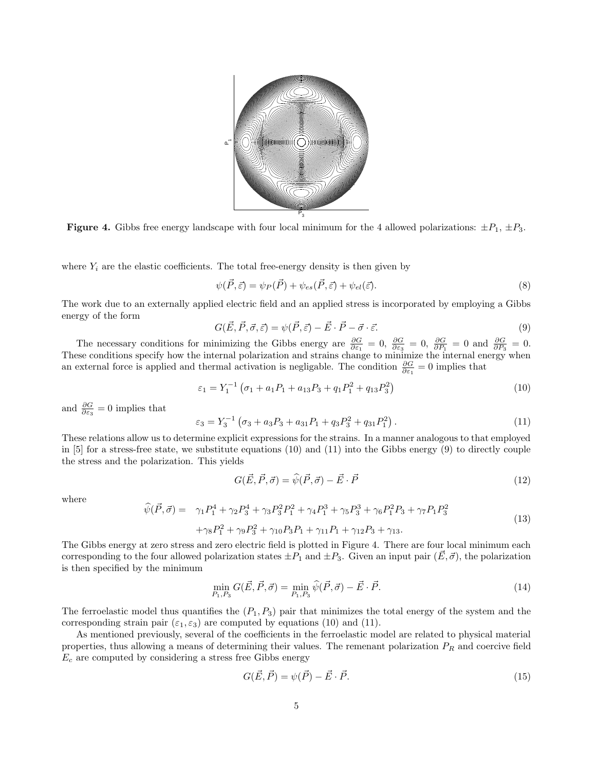

**Figure 4.** Gibbs free energy landscape with four local minimum for the 4 allowed polarizations:  $\pm P_1$ ,  $\pm P_3$ .

where  $Y_i$  are the elastic coefficients. The total free-energy density is then given by

$$
\psi(\vec{P}, \vec{\varepsilon}) = \psi_P(\vec{P}) + \psi_{es}(\vec{P}, \vec{\varepsilon}) + \psi_{el}(\vec{\varepsilon}). \tag{8}
$$

The work due to an externally applied electric field and an applied stress is incorporated by employing a Gibbs energy of the form

$$
G(\vec{E}, \vec{P}, \vec{\sigma}, \vec{\varepsilon}) = \psi(\vec{P}, \vec{\varepsilon}) - \vec{E} \cdot \vec{P} - \vec{\sigma} \cdot \vec{\varepsilon}.
$$
\n(9)

The necessary conditions for minimizing the Gibbs energy are  $\frac{\partial G}{\partial \epsilon_1} = 0$ ,  $\frac{\partial G}{\partial \epsilon_3} = 0$ ,  $\frac{\partial G}{\partial P_1} = 0$  and  $\frac{\partial G}{\partial P_3} = 0$ . These conditions specify how the internal polarization and strains change to minimize the internal energy when an external force is applied and thermal activation is negligable. The condition  $\frac{\partial G}{\partial \varepsilon_1} = 0$  implies that

$$
\varepsilon_1 = Y_1^{-1} \left( \sigma_1 + a_1 P_1 + a_{13} P_3 + q_1 P_1^2 + q_{13} P_3^2 \right) \tag{10}
$$

and  $\frac{\partial G}{\partial \varepsilon_3} = 0$  implies that

$$
\varepsilon_3 = Y_3^{-1} \left( \sigma_3 + a_3 P_3 + a_{31} P_1 + q_3 P_3^2 + q_{31} P_1^2 \right). \tag{11}
$$

These relations allow us to determine explicit expressions for the strains. In a manner analogous to that employed in [5] for a stress-free state, we substitute equations (10) and (11) into the Gibbs energy (9) to directly couple the stress and the polarization. This yields

$$
G(\vec{E}, \vec{P}, \vec{\sigma}) = \hat{\psi}(\vec{P}, \vec{\sigma}) - \vec{E} \cdot \vec{P}
$$
\n(12)

where

$$
\hat{\psi}(\vec{P}, \vec{\sigma}) = \gamma_1 P_1^4 + \gamma_2 P_3^4 + \gamma_3 P_3^2 P_1^2 + \gamma_4 P_1^3 + \gamma_5 P_3^3 + \gamma_6 P_1^2 P_3 + \gamma_7 P_1 P_3^2
$$
\n
$$
+ \gamma_8 P_1^2 + \gamma_9 P_3^2 + \gamma_{10} P_3 P_1 + \gamma_{11} P_1 + \gamma_{12} P_3 + \gamma_{13}.
$$
\n(13)

The Gibbs energy at zero stress and zero electric field is plotted in Figure 4. There are four local minimum each corresponding to the four allowed polarization states  $\pm P_1$  and  $\pm P_3$ . Given an input pair  $(\vec{E}, \vec{\sigma})$ , the polarization is then specified by the minimum

$$
\min_{P_1, P_3} G(\vec{E}, \vec{P}, \vec{\sigma}) = \min_{P_1, P_3} \hat{\psi}(\vec{P}, \vec{\sigma}) - \vec{E} \cdot \vec{P}.
$$
\n(14)

The ferroelastic model thus quantifies the  $(P_1, P_3)$  pair that minimizes the total energy of the system and the corresponding strain pair  $(\varepsilon_1, \varepsilon_3)$  are computed by equations (10) and (11).

As mentioned previously, several of the coefficients in the ferroelastic model are related to physical material properties, thus allowing a means of determining their values. The remenant polarization  $P_R$  and coercive field  $E_c$  are computed by considering a stress free Gibbs energy

$$
G(\vec{E}, \vec{P}) = \psi(\vec{P}) - \vec{E} \cdot \vec{P}.
$$
\n(15)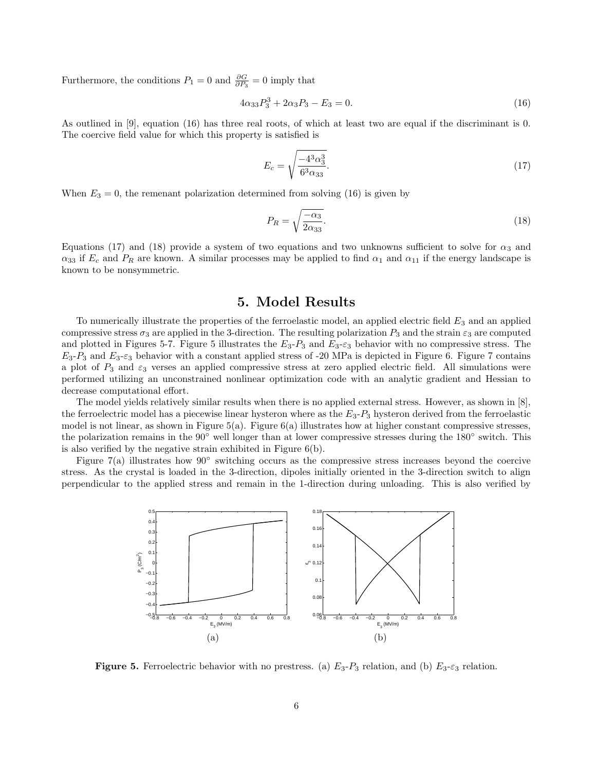Furthermore, the conditions  $P_1 = 0$  and  $\frac{\partial G}{\partial P_3} = 0$  imply that

$$
4\alpha_{33}P_3^3 + 2\alpha_3 P_3 - E_3 = 0. \tag{16}
$$

As outlined in [9], equation (16) has three real roots, of which at least two are equal if the discriminant is 0. The coercive field value for which this property is satisfied is

$$
E_c = \sqrt{\frac{-4^3 \alpha_3^3}{6^3 \alpha_{33}}}.
$$
\n(17)

When  $E_3 = 0$ , the remenant polarization determined from solving (16) is given by

$$
P_R = \sqrt{\frac{-\alpha_3}{2\alpha_{33}}}.\tag{18}
$$

Equations (17) and (18) provide a system of two equations and two unknowns sufficient to solve for  $\alpha_3$  and  $\alpha_{33}$  if  $E_c$  and  $P_R$  are known. A similar processes may be applied to find  $\alpha_1$  and  $\alpha_{11}$  if the energy landscape is known to be nonsymmetric.

### 5. Model Results

To numerically illustrate the properties of the ferroelastic model, an applied electric field  $E_3$  and an applied compressive stress  $\sigma_3$  are applied in the 3-direction. The resulting polarization  $P_3$  and the strain  $\varepsilon_3$  are computed and plotted in Figures 5-7. Figure 5 illustrates the  $E_3$ - $F_3$  and  $E_3$ - $\varepsilon_3$  behavior with no compressive stress. The  $E_3$ - $P_3$  and  $E_3$ - $\varepsilon_3$  behavior with a constant applied stress of -20 MPa is depicted in Figure 6. Figure 7 contains a plot of  $P_3$  and  $\varepsilon_3$  verses an applied compressive stress at zero applied electric field. All simulations were performed utilizing an unconstrained nonlinear optimization code with an analytic gradient and Hessian to decrease computational effort.

The model yields relatively similar results when there is no applied external stress. However, as shown in [8], the ferroelectric model has a piecewise linear hysteron where as the  $E_3$ - $P_3$  hysteron derived from the ferroelastic model is not linear, as shown in Figure  $5(a)$ . Figure  $6(a)$  illustrates how at higher constant compressive stresses, the polarization remains in the 90◦ well longer than at lower compressive stresses during the 180◦ switch. This is also verified by the negative strain exhibited in Figure 6(b).

Figure 7(a) illustrates how 90◦ switching occurs as the compressive stress increases beyond the coercive stress. As the crystal is loaded in the 3-direction, dipoles initially oriented in the 3-direction switch to align perpendicular to the applied stress and remain in the 1-direction during unloading. This is also verified by



**Figure 5.** Ferroelectric behavior with no prestress. (a)  $E_3 - P_3$  relation, and (b)  $E_3 - \varepsilon_3$  relation.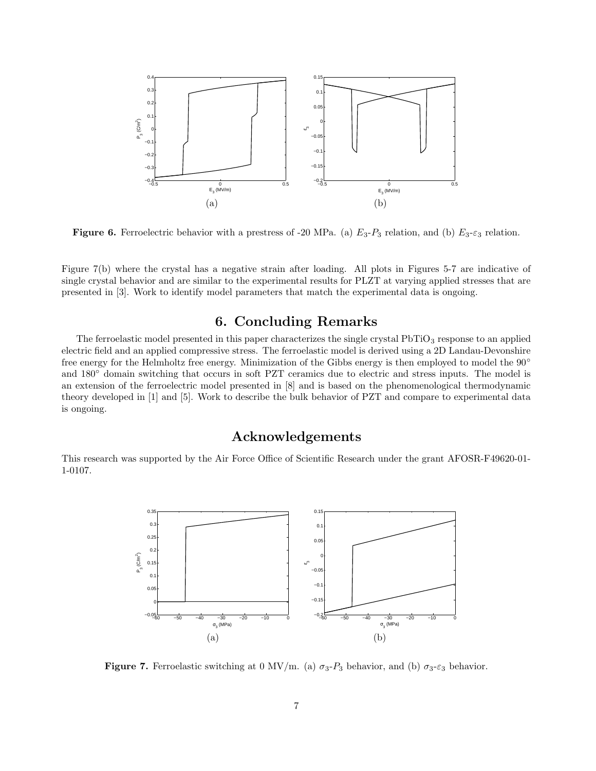

**Figure 6.** Ferroelectric behavior with a prestress of -20 MPa. (a)  $E_3$ -P<sub>3</sub> relation, and (b)  $E_3$ - $\varepsilon_3$  relation.

Figure 7(b) where the crystal has a negative strain after loading. All plots in Figures 5-7 are indicative of single crystal behavior and are similar to the experimental results for PLZT at varying applied stresses that are presented in [3]. Work to identify model parameters that match the experimental data is ongoing.

# 6. Concluding Remarks

The ferroelastic model presented in this paper characterizes the single crystal  $\mathrm{PbTiO}_{3}$  response to an applied electric field and an applied compressive stress. The ferroelastic model is derived using a 2D Landau-Devonshire free energy for the Helmholtz free energy. Minimization of the Gibbs energy is then employed to model the 90° and 180° domain switching that occurs in soft PZT ceramics due to electric and stress inputs. The model is an extension of the ferroelectric model presented in [8] and is based on the phenomenological thermodynamic theory developed in [1] and [5]. Work to describe the bulk behavior of PZT and compare to experimental data is ongoing.

### Acknowledgements

This research was supported by the Air Force Office of Scientific Research under the grant AFOSR-F49620-01- 1-0107.



**Figure 7.** Ferroelastic switching at 0 MV/m. (a)  $\sigma_3$ - $P_3$  behavior, and (b)  $\sigma_3$ - $\varepsilon_3$  behavior.